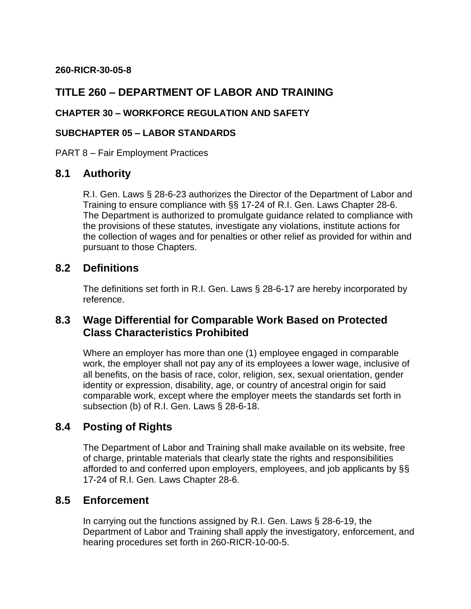#### **260-RICR-30-05-8**

## **TITLE 260 – DEPARTMENT OF LABOR AND TRAINING**

#### **CHAPTER 30 – WORKFORCE REGULATION AND SAFETY**

#### **SUBCHAPTER 05 – LABOR STANDARDS**

PART 8 – Fair Employment Practices

### **8.1 Authority**

R.I. Gen. Laws § 28-6-23 authorizes the Director of the Department of Labor and Training to ensure compliance with §§ 17-24 of R.I. Gen. Laws Chapter 28-6. The Department is authorized to promulgate guidance related to compliance with the provisions of these statutes, investigate any violations, institute actions for the collection of wages and for penalties or other relief as provided for within and pursuant to those Chapters.

### **8.2 Definitions**

The definitions set forth in R.I. Gen. Laws § 28-6-17 are hereby incorporated by reference.

### **8.3 Wage Differential for Comparable Work Based on Protected Class Characteristics Prohibited**

Where an employer has more than one (1) employee engaged in comparable work, the employer shall not pay any of its employees a lower wage, inclusive of all benefits, on the basis of race, color, religion, sex, sexual orientation, gender identity or expression, disability, age, or country of ancestral origin for said comparable work, except where the employer meets the standards set forth in subsection (b) of R.I. Gen. Laws § 28-6-18.

### **8.4 Posting of Rights**

The Department of Labor and Training shall make available on its website, free of charge, printable materials that clearly state the rights and responsibilities afforded to and conferred upon employers, employees, and job applicants by §§ 17-24 of R.I. Gen. Laws Chapter 28-6.

### **8.5 Enforcement**

In carrying out the functions assigned by R.I. Gen. Laws § 28-6-19, the Department of Labor and Training shall apply the investigatory, enforcement, and hearing procedures set forth in 260-RICR-10-00-5.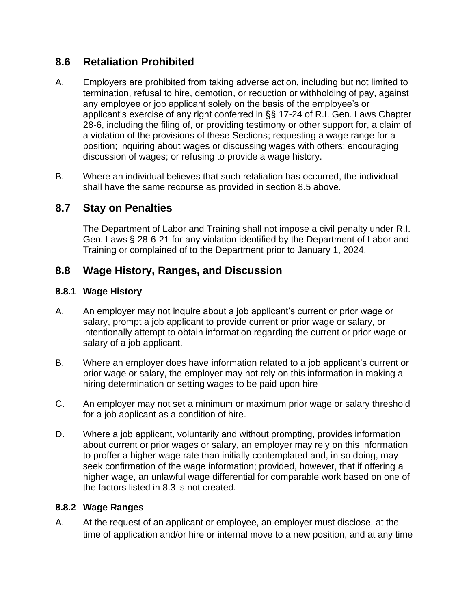## **8.6 Retaliation Prohibited**

- A. Employers are prohibited from taking adverse action, including but not limited to termination, refusal to hire, demotion, or reduction or withholding of pay, against any employee or job applicant solely on the basis of the employee's or applicant's exercise of any right conferred in §§ 17-24 of R.I. Gen. Laws Chapter 28-6, including the filing of, or providing testimony or other support for, a claim of a violation of the provisions of these Sections; requesting a wage range for a position; inquiring about wages or discussing wages with others; encouraging discussion of wages; or refusing to provide a wage history.
- B. Where an individual believes that such retaliation has occurred, the individual shall have the same recourse as provided in section 8.5 above.

## **8.7 Stay on Penalties**

The Department of Labor and Training shall not impose a civil penalty under R.I. Gen. Laws § 28-6-21 for any violation identified by the Department of Labor and Training or complained of to the Department prior to January 1, 2024.

## **8.8 Wage History, Ranges, and Discussion**

#### **8.8.1 Wage History**

- A. An employer may not inquire about a job applicant's current or prior wage or salary, prompt a job applicant to provide current or prior wage or salary, or intentionally attempt to obtain information regarding the current or prior wage or salary of a job applicant.
- B. Where an employer does have information related to a job applicant's current or prior wage or salary, the employer may not rely on this information in making a hiring determination or setting wages to be paid upon hire
- C. An employer may not set a minimum or maximum prior wage or salary threshold for a job applicant as a condition of hire.
- D. Where a job applicant, voluntarily and without prompting, provides information about current or prior wages or salary, an employer may rely on this information to proffer a higher wage rate than initially contemplated and, in so doing, may seek confirmation of the wage information; provided, however, that if offering a higher wage, an unlawful wage differential for comparable work based on one of the factors listed in 8.3 is not created.

#### **8.8.2 Wage Ranges**

A. At the request of an applicant or employee, an employer must disclose, at the time of application and/or hire or internal move to a new position, and at any time